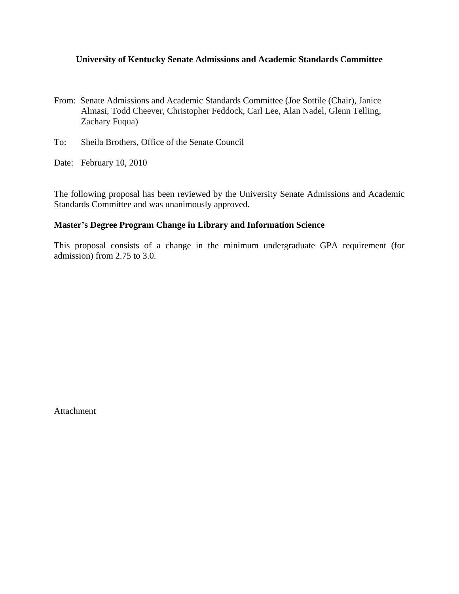## **University of Kentucky Senate Admissions and Academic Standards Committee**

- From: Senate Admissions and Academic Standards Committee (Joe Sottile (Chair), Janice Almasi, Todd Cheever, Christopher Feddock, Carl Lee, Alan Nadel, Glenn Telling, Zachary Fuqua)
- To: Sheila Brothers, Office of the Senate Council
- Date: February 10, 2010

The following proposal has been reviewed by the University Senate Admissions and Academic Standards Committee and was unanimously approved.

### **Master's Degree Program Change in Library and Information Science**

This proposal consists of a change in the minimum undergraduate GPA requirement (for admission) from 2.75 to 3.0.

Attachment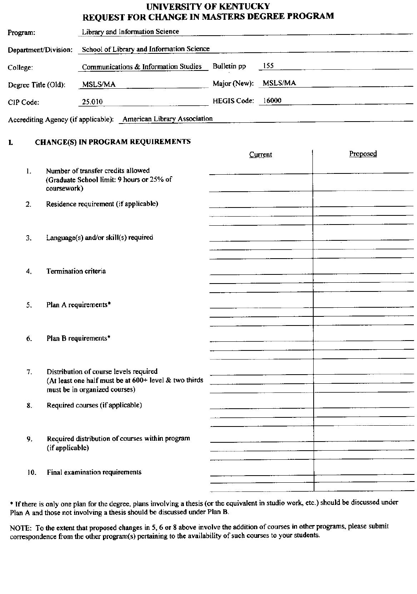# UNIVERSITY OF KENTUCKY

|                               |                      | <b>REQUEST FOR CHANGE IN MASTERS DEGREE PROGRAM</b>                                                                              |                   |                             |          |  |
|-------------------------------|----------------------|----------------------------------------------------------------------------------------------------------------------------------|-------------------|-----------------------------|----------|--|
| Program:                      |                      | Library and Information Science                                                                                                  |                   |                             |          |  |
|                               | Department/Division: | School of Library and Information Science                                                                                        |                   |                             |          |  |
| College:                      |                      | Communications & Information Studies Bulletin pp                                                                                 | 155               |                             |          |  |
| Degree Title (Old):           |                      | MSLS/MA                                                                                                                          |                   | Major (New): MSLS/MA        |          |  |
| CIP Code:                     |                      | 25.010                                                                                                                           | HEGIS Code: 16000 |                             |          |  |
|                               |                      | Accrediting Agency (if applicable): American Library Association                                                                 |                   |                             |          |  |
| L                             |                      | <b>CHANGE(S) IN PROGRAM REQUIREMENTS</b>                                                                                         |                   |                             |          |  |
|                               |                      |                                                                                                                                  |                   | Current                     | Proposed |  |
| $\mathbf{1}$ .<br>coursework) |                      | Number of transfer credits allowed<br>(Graduate School limit: 9 hours or 25% of                                                  |                   |                             |          |  |
| $\overline{2}$ .              |                      | Residence requirement (if applicable)                                                                                            |                   |                             |          |  |
| 3.                            |                      | Language(s) and/or skill(s) required                                                                                             |                   |                             |          |  |
| 4.                            | Termination criteria |                                                                                                                                  |                   |                             |          |  |
| 5.                            |                      | Plan A requirements*                                                                                                             |                   |                             |          |  |
| 6.                            |                      | Plan B requirements*                                                                                                             |                   |                             |          |  |
| 7.                            |                      | Distribution of course levels required<br>(At least one half must be at 600+ level & two thirds<br>must be in organized courses) |                   |                             |          |  |
| 8.                            |                      | Required courses (if applicable)                                                                                                 |                   |                             |          |  |
| 9.                            | (if applicable)      | Required distribution of courses within program                                                                                  |                   | <u> wa mara a shekara 5</u> |          |  |
| 10.                           |                      | Final examination requirements                                                                                                   |                   |                             |          |  |

\* If there is only one plan for the degree, plans involving a thesis (or the equivalent in studio work, etc.) should be discussed under Plan A and those not involving a thesis should be discussed under Plan B.

NOTE: To the extent that proposed changes in 5, 6 or 8 above involve the addition of courses in other programs, please submit correspondence from the other program(s) pertaining to the availability of such courses to your students.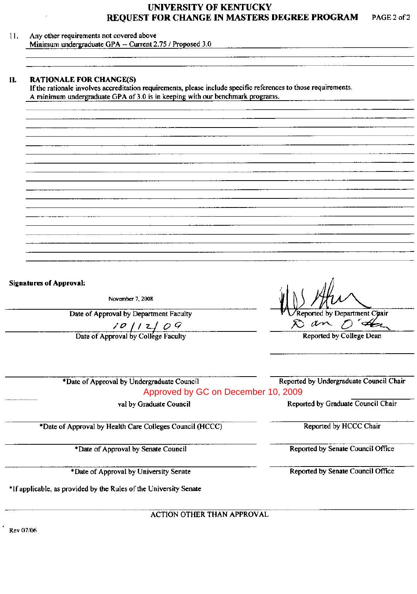#### UNIVERSITY OF KENTUCKY **TREE BRACKAM** and the second con-

| <b>RATIONALE FOR CHANGE(S)</b><br>If the rationale involves accreditation requirements, please include specific references to those requirements.<br>A minimum undergraduate GPA of 3.0 is in keeping with our benchmark programs. |                                          |  |  |  |
|------------------------------------------------------------------------------------------------------------------------------------------------------------------------------------------------------------------------------------|------------------------------------------|--|--|--|
|                                                                                                                                                                                                                                    |                                          |  |  |  |
|                                                                                                                                                                                                                                    |                                          |  |  |  |
|                                                                                                                                                                                                                                    |                                          |  |  |  |
|                                                                                                                                                                                                                                    |                                          |  |  |  |
|                                                                                                                                                                                                                                    |                                          |  |  |  |
|                                                                                                                                                                                                                                    |                                          |  |  |  |
|                                                                                                                                                                                                                                    |                                          |  |  |  |
|                                                                                                                                                                                                                                    |                                          |  |  |  |
|                                                                                                                                                                                                                                    |                                          |  |  |  |
|                                                                                                                                                                                                                                    |                                          |  |  |  |
|                                                                                                                                                                                                                                    |                                          |  |  |  |
| <b>Signatures of Approval:</b>                                                                                                                                                                                                     |                                          |  |  |  |
| November 7, 2008                                                                                                                                                                                                                   |                                          |  |  |  |
| Date of Approval by Department Faculty                                                                                                                                                                                             | Reported by Department Chair<br>Dan D'an |  |  |  |
| $\begin{array}{c c}\n\hline\n\end{array}$ $\begin{array}{c c}\n\hline\n\end{array}$ Date of Approval by College Faculty                                                                                                            | Reported by College Dean                 |  |  |  |
|                                                                                                                                                                                                                                    |                                          |  |  |  |
| *Date of Approval by Undergraduate Council                                                                                                                                                                                         | Reported by Undergraduate Council Chair  |  |  |  |
| Approved by GC on December 10, 2009                                                                                                                                                                                                |                                          |  |  |  |
| val by Graduate Council                                                                                                                                                                                                            | Reported by Graduate Council Chair       |  |  |  |
| *Date of Approval by Health Care Colleges Council (HCCC)                                                                                                                                                                           | Reported by HCCC Chair                   |  |  |  |
| *Date of Approval by Senate Council                                                                                                                                                                                                | Reported by Senate Council Office        |  |  |  |
| *Date of Approval by University Senate                                                                                                                                                                                             | Reported by Senate Council Office        |  |  |  |
|                                                                                                                                                                                                                                    |                                          |  |  |  |

 $^{\prime}$  Rev 07/06